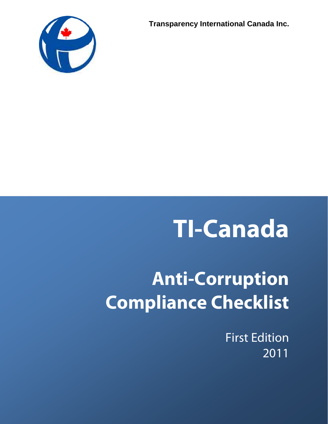



# **TI-Canada**

# **Anti-Corruption Compliance Checklist**

First Edition 2011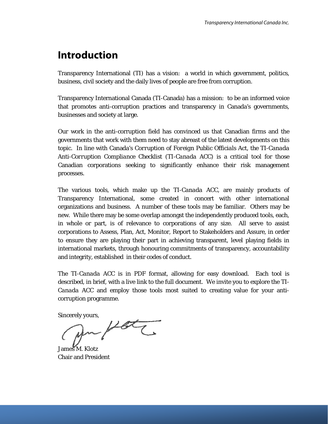# **Introduction**

Transparency International (TI) has a vision: a world in which government, politics, business, civil society and the daily lives of people are free from corruption.

Transparency International Canada (TI-Canada) has a mission: to be an informed voice that promotes anti-corruption practices and transparency in Canada's governments, businesses and society at large.

Our work in the anti-corruption field has convinced us that Canadian firms and the governments that work with them need to stay abreast of the latest developments on this topic. In line with Canada's *Corruption of Foreign Public Officials Act, the TI-Canada Anti-Corruption Compliance Checklist* (*TI-Canada ACC*) is a critical tool for those Canadian corporations seeking to significantly enhance their risk management processes.

The various tools, which make up the *TI-Canada ACC*, are mainly products of Transparency International, some created in concert with other international organizations and business. A number of these tools may be familiar. Others may be new. While there may be some overlap amongst the independently produced tools, each, in whole or part, is of relevance to corporations of any size. All serve to assist corporations to Assess, Plan, Act, Monitor, Report to Stakeholders and Assure, in order to ensure they are playing their part in achieving transparent, level playing fields in international markets, through honouring commitments of transparency, accountability and integrity, established in their codes of conduct.

The *TI-Canada ACC* is in PDF format, allowing for easy download. Each tool is described, in brief, with a live link to the full document. We invite you to explore the *TI-Canada ACC* and employ those tools most suited to creating value for your anticorruption programme.

Sincerely yours,

James M. Klotz Chair and President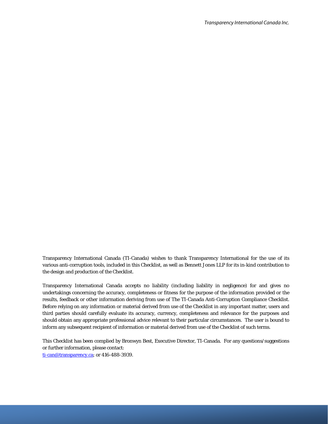Transparency International Canada (TI-Canada) wishes to thank Transparency International for the use of its various anti-corruption tools, included in this Checklist, as well as Bennett Jones LLP for its in-kind contribution to the design and production of the Checklist.

Transparency International Canada accepts no liability (including liability in negligence) for and gives no undertakings concerning the accuracy, completeness or fitness for the purpose of the information provided or the results, feedback or other information deriving from use of The TI-Canada Anti-Corruption Compliance Checklist. Before relying on any information or material derived from use of the Checklist in any important matter, users and third parties should carefully evaluate its accuracy, currency, completeness and relevance for the purposes and should obtain any appropriate professional advice relevant to their particular circumstances. The user is bound to inform any subsequent recipient of information or material derived from use of the Checklist of such terms.

This Checklist has been complied by Bronwyn Best, Executive Director, TI-Canada. For any questions/suggestions or further information, please contact: ti-can@transparency.ca; or 416-488-3939.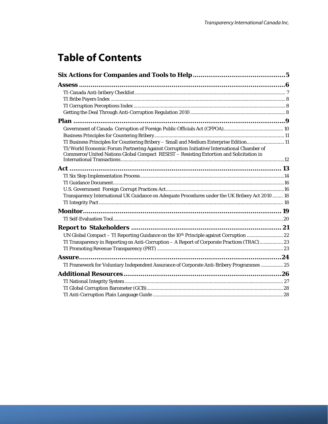# **Table of Contents**

| TI Business Principles for Countering Bribery - Small and Medium Enterprise Edition11                                                                                                |  |
|--------------------------------------------------------------------------------------------------------------------------------------------------------------------------------------|--|
| TI/World Economic Forum Partnering Against Corruption Initiative/International Chamber of<br>Commerce/United Nations Global Compact RESIST - Resisting Extortion and Solicitation in |  |
|                                                                                                                                                                                      |  |
|                                                                                                                                                                                      |  |
|                                                                                                                                                                                      |  |
|                                                                                                                                                                                      |  |
|                                                                                                                                                                                      |  |
| Transparency International UK Guidance on Adequate Procedures under the UK Bribery Act 2010  18                                                                                      |  |
|                                                                                                                                                                                      |  |
|                                                                                                                                                                                      |  |
|                                                                                                                                                                                      |  |
|                                                                                                                                                                                      |  |
| UN Global Compact - TI Reporting Guidance on the 10 <sup>th</sup> Principle against Corruption  22                                                                                   |  |
| TI Transparency in Reporting on Anti-Corruption - A Report of Corporate Practices (TRAC) 23                                                                                          |  |
|                                                                                                                                                                                      |  |
|                                                                                                                                                                                      |  |
| TI Framework for Voluntary Independent Assurance of Corporate Anti-Bribery Programmes  25                                                                                            |  |
|                                                                                                                                                                                      |  |
|                                                                                                                                                                                      |  |
|                                                                                                                                                                                      |  |
|                                                                                                                                                                                      |  |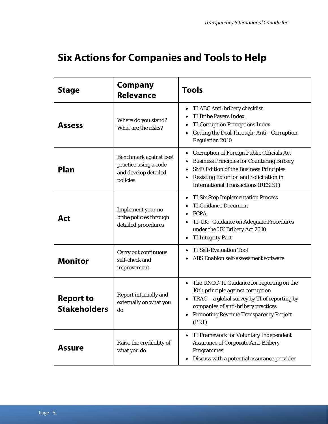# **Six Actions for Companies and Tools to Help**

| <b>Stage</b>                            | <b>Company</b><br><b>Relevance</b>                                                  | <b>Tools</b>                                                                                                                                                                                                                                                    |  |  |  |
|-----------------------------------------|-------------------------------------------------------------------------------------|-----------------------------------------------------------------------------------------------------------------------------------------------------------------------------------------------------------------------------------------------------------------|--|--|--|
| <b>Assess</b>                           | Where do you stand?<br>What are the risks?                                          | TI ABC Anti-bribery checklist<br><b>TI Bribe Payers Index</b><br><b>TI Corruption Perceptions Index</b><br>٠<br>Getting the Deal Through: Anti- Corruption<br><b>Regulation 2010</b>                                                                            |  |  |  |
| Plan                                    | Benchmark against best<br>practice using a code<br>and develop detailed<br>policies | <b>Corruption of Foreign Public Officials Act</b><br>٠<br><b>Business Principles for Countering Bribery</b><br><b>SME Edition of the Business Principles</b><br>٠<br>Resisting Extortion and Solicitation in<br>٠<br><b>International Transactions (RESIST)</b> |  |  |  |
| <b>Act</b>                              | Implement your no-<br>bribe policies through<br>detailed procedures                 | <b>TI Six Step Implementation Process</b><br><b>TI Guidance Document</b><br><b>FCPA</b><br>TI-UK: Guidance on Adequate Procedures<br>under the UK Bribery Act 2010<br><b>TI Integrity Pact</b>                                                                  |  |  |  |
| <b>Monitor</b>                          | Carry out continuous<br>self-check and<br>improvement                               | <b>TI Self-Evaluation Tool</b><br>ABS Enablon self-assessment software                                                                                                                                                                                          |  |  |  |
| <b>Report to</b><br><b>Stakeholders</b> | Report internally and<br>externally on what you<br>do                               | The UNGC-TI Guidance for reporting on the<br>$\bullet$<br>10th principle against corruption<br>$TRAC - a$ global survey by TI of reporting by<br>companies of anti-bribery practices<br><b>Promoting Revenue Transparency Project</b><br>$\bullet$<br>(PRT)     |  |  |  |
| <b>Assure</b>                           | Raise the credibility of<br>what you do                                             | TI Framework for Voluntary Independent<br><b>Assurance of Corporate Anti-Bribery</b><br>Programmes<br>Discuss with a potential assurance provider                                                                                                               |  |  |  |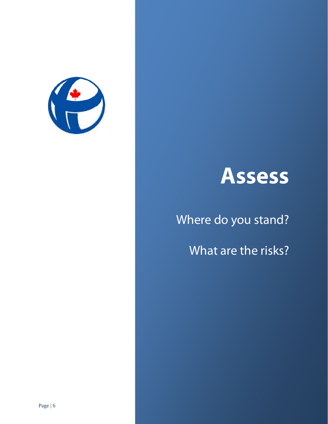

# **Assess**

# Where do you stand?

What are the risks?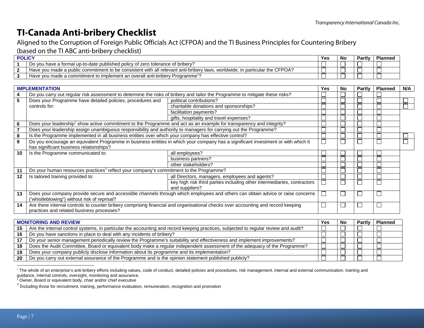# **TI-Canada Anti-bribery Checklist**

Aligned to the Corruption of Foreign Public Officials Act (CFPOA) and the TI Business Principles for Countering Bribery (based on the TI ABC anti-bribery checklist)

| <b>POLICY</b> |                                                                                                                                                                              | Yes | טיי | <b>Partly</b> | <b>Planned</b> |
|---------------|------------------------------------------------------------------------------------------------------------------------------------------------------------------------------|-----|-----|---------------|----------------|
|               | Do you have a formal up-to-date published policy of zero tolerance of bribery?                                                                                               |     |     | 一             | 一              |
|               | r the CFPOA?<br>$\alpha$ made a public commitment to be consistent with all $\alpha$<br>l relevant anti-<br>. in particular<br>-briber\<br>worldwide,<br>Have vou<br>' laws, |     |     |               | —              |
|               | II anti-briberv Programme'<br>u made a commitment to implement an overall<br>Have vou                                                                                        |     |     |               |                |

| <b>IMPLEMENTATION</b> |                                                                                                                                  |                                                                                                                                   |  |  | <b>Partly</b> | <b>Planned</b> | N/A |
|-----------------------|----------------------------------------------------------------------------------------------------------------------------------|-----------------------------------------------------------------------------------------------------------------------------------|--|--|---------------|----------------|-----|
| 4                     | Do you carry out regular risk assessment to determine the risks of bribery and tailor the Programme to mitigate these risks?     |                                                                                                                                   |  |  |               |                |     |
| 5                     | Does your Programme have detailed policies, procedures and                                                                       | political contributions?                                                                                                          |  |  |               |                |     |
|                       | controls for:                                                                                                                    | charitable donations and sponsorships?                                                                                            |  |  |               |                |     |
|                       |                                                                                                                                  | facilitation payments?                                                                                                            |  |  |               |                |     |
|                       |                                                                                                                                  | gifts, hospitality and travel expenses?                                                                                           |  |  |               |                |     |
| 6                     | Does your leadership <sup>2</sup> show active commitment to the Programme and act as an example for transparency and integrity?  |                                                                                                                                   |  |  |               |                |     |
|                       | Does your leadership assign unambiguous responsibility and authority to managers for carrying out the Programme?                 |                                                                                                                                   |  |  |               |                |     |
| 8                     | Is the Programme implemented in all business entities over which your company has effective control?                             |                                                                                                                                   |  |  |               |                |     |
| 9                     |                                                                                                                                  | Do you encourage an equivalent Programme in business entities in which your company has a significant investment or with which it |  |  |               |                |     |
|                       | has significant business relationships?                                                                                          |                                                                                                                                   |  |  |               |                |     |
| 10                    | Is the Programme communicated to:                                                                                                | all employees?                                                                                                                    |  |  |               |                |     |
|                       |                                                                                                                                  | business partners?                                                                                                                |  |  |               |                |     |
|                       |                                                                                                                                  | other stakeholders?                                                                                                               |  |  |               |                |     |
| 11                    | Do your human resources practices <sup>3</sup> reflect your company's commitment to the Programme?                               |                                                                                                                                   |  |  |               |                |     |
| $12 \,$               | Is tailored training provided to:                                                                                                | all Directors, managers, employees and agents?                                                                                    |  |  |               |                |     |
|                       |                                                                                                                                  | key high risk third parties including other intermediaries, contractors                                                           |  |  |               |                |     |
|                       |                                                                                                                                  | and suppliers?                                                                                                                    |  |  |               |                |     |
| 13                    | Does your company provide secure and accessible channels through which employees and others can obtain advice or raise concerns  |                                                                                                                                   |  |  |               |                |     |
|                       | ('whistleblowing") without risk of reprisal?                                                                                     |                                                                                                                                   |  |  |               |                |     |
| 14                    | Are there internal controls to counter bribery comprising financial and organisational checks over accounting and record keeping |                                                                                                                                   |  |  |               |                |     |
|                       | practices and related business processes?                                                                                        |                                                                                                                                   |  |  |               |                |     |

|    | <b>MONITORING AND REVIEW</b>                                                                                                        | Yes | No | <b>Planned</b> |
|----|-------------------------------------------------------------------------------------------------------------------------------------|-----|----|----------------|
| 15 | Are the internal control systems, in particular the accounting and record keeping practices, subjected to regular review and audit? |     |    |                |
| 16 | Do you have sanctions in place to deal with any incidents of bribery?                                                               |     |    |                |
| 17 | Do your senior management periodically review the Programme's suitability and effectiveness and implement improvements?             |     |    |                |
| 18 | Does the Audit Committee, Board or equivalent body make a regular independent assessment of the adequacy of the Programme?          |     |    |                |
| 19 | Does your company publicly disclose information about its programme and its implementation?                                         |     |    |                |
| 20 | Do you carry out external assurance of the Programme and is the opinion statement published publicly?                               |     |    |                |

<sup>1</sup> The whole of an enterprise's anti-bribery efforts including values, code of conduct, detailed policies and procedures, risk management, internal and external communication, training and guidance, internal controls, oversight, monitoring and assurance.

 $2$  Owner, Board or equivalent body, chair and/or chief executive

<sup>3</sup> Including those for recruitment, training, performance evaluation, remuneration, recognition and promotion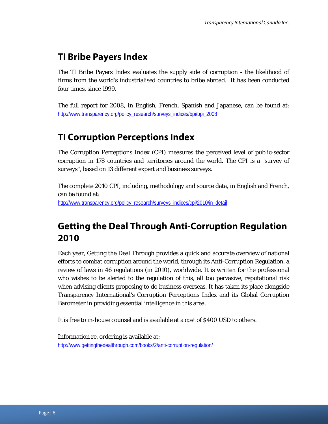## **TI Bribe Payers Index**

The TI Bribe Payers Index evaluates the supply side of corruption - the likelihood of firms from the world's industrialised countries to bribe abroad. It has been conducted four times, since 1999.

The full report for 2008, in English, French, Spanish and Japanese, can be found at: http://www.transparency.org/policy\_research/surveys\_indices/bpi/bpi\_2008

## **TI Corruption Perceptions Index**

The Corruption Perceptions Index (CPI) measures the perceived level of public-sector corruption in 178 countries and territories around the world. The CPI is a "survey of surveys", based on 13 different expert and business surveys.

The complete 2010 CPI, including, methodology and source data, in English and French, can be found at: http://www.transparency.org/policy\_research/surveys\_indices/cpi/2010/in\_detail

# **Getting the Deal Through Anti-Corruption Regulation 2010**

Each year, Getting the Deal Through provides a quick and accurate overview of national efforts to combat corruption around the world, through its Anti-Corruption Regulation, a review of laws in 46 regulations (in 2010), worldwide. It is written for the professional who wishes to be alerted to the regulation of this, all too pervasive, reputational risk when advising clients proposing to do business overseas. It has taken its place alongside Transparency International's Corruption Perceptions Index and its Global Corruption Barometer in providing essential intelligence in this area.

It is free to in-house counsel and is available at a cost of \$400 USD to others.

Information re. ordering is available at: http://www.gettingthedealthrough.com/books/2/anti-corruption-regulation/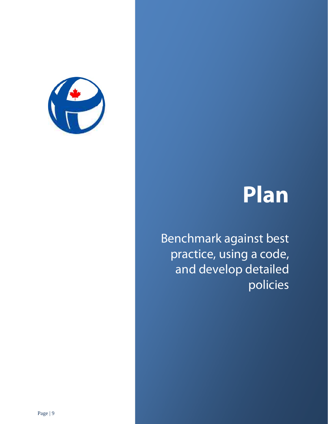

# **Plan**

Benchmark against best practice, using a code, and develop detailed policies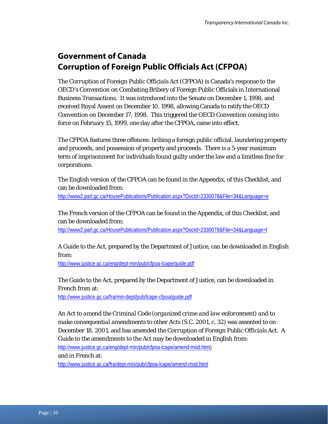## **Government of Canada Corruption of Foreign Public Officials Act (CFPOA)**

The *Corruption of Foreign Public Officials Act* (CFPOA) is Canada's response to the OECD's Convention on Combating Bribery of Foreign Public Officials in International Business Transactions. It was introduced into the Senate on December 1, 1998, and received Royal Assent on December 10, 1998, allowing Canada to ratify the OECD Convention on December 17, 1998. This triggered the OECD Convention coming into force on February 15, 1999, one day after the CFPOA, came into effect.

The CFPOA features three offences: bribing a foreign public official, laundering property and proceeds, and possession of property and proceeds. There is a 5-year maximum term of imprisonment for individuals found guilty under the law and a limitless fine for corporations.

The English version of the CFPOA can be found in the Appendix, of this Checklist, and can be downloaded from:

http://www2.parl.gc.ca/HousePublications/Publication.aspx?DocId=2330078&File=34&Language=e

The French version of the CFPOA can be found in the Appendix, of this Checklist, and can be downloaded from:

http://www2.parl.gc.ca/HousePublications/Publication.aspx?DocId=2330078&File=34&Language=f

A Guide to the *Act,* prepared by the Department of Justice, can be downloaded in English from:

http://www.justice.gc.ca/eng/dept-min/pub/cfpoa-lcape/guide.pdf

The Guide to the *Act*, prepared by the Department of Justice, can be downloaded in French from at:

http://www.justice.gc.ca/fra/min-dept/pub/lcape-cfpoa/guide.pdf

*An Act to amend the Criminal Code (organized crime and law enforcement) and to make consequential amendments to other Acts* (S.C. 2001, c. 32) was assented to on December 18, 2001, and has amended the *Corruption of Foreign Public Officials Act*. A Guide to the amendments to the *Act* may be downloaded in English from: http://www.justice.gc.ca/eng/dept-min/pub/cfpoa-lcape/amend-mod.html;

and in French at:

http://www.justice.gc.ca/fra/dept-min/pub/cfpoa-lcape/amend-mod.html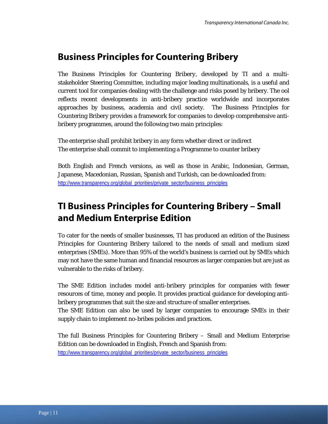## **Business Principles for Countering Bribery**

The *Business Principles for Countering Bribery*, developed by TI and a multistakeholder Steering Committee, including major leading multinationals, is a useful and current tool for companies dealing with the challenge and risks posed by bribery. The ool reflects recent developments in anti-bribery practice worldwide and incorporates approaches by business, academia and civil society. The Business Principles for Countering Bribery provides a framework for companies to develop comprehensive antibribery programmes, around the following two main principles:

The enterprise shall prohibit bribery in any form whether direct or indirect The enterprise shall commit to implementing a Programme to counter bribery

Both English and French versions, as well as those in Arabic, Indonesian, German, Japanese, Macedonian, Russian, Spanish and Turkish, can be downloaded from: http://www.transparency.org/global\_priorities/private\_sector/business\_principles

# **TI Business Principles for Countering Bribery – Small and Medium Enterprise Edition**

To cater for the needs of smaller businesses, TI has produced an edition of the Business Principles for Countering Bribery tailored to the needs of small and medium sized enterprises (SMEs). More than 95% of the world's business is carried out by SMEs which may not have the same human and financial resources as larger companies but are just as vulnerable to the risks of bribery.

The SME Edition includes model anti-bribery principles for companies with fewer resources of time, money and people. It provides practical guidance for developing antibribery programmes that suit the size and structure of smaller enterprises.

The SME Edition can also be used by larger companies to encourage SMEs in their supply chain to implement no-bribes policies and practices.

The full Business Principles for Countering Bribery – Small and Medium Enterprise Edition can be downloaded in English, French and Spanish from: http://www.transparency.org/global\_priorities/private\_sector/business\_principles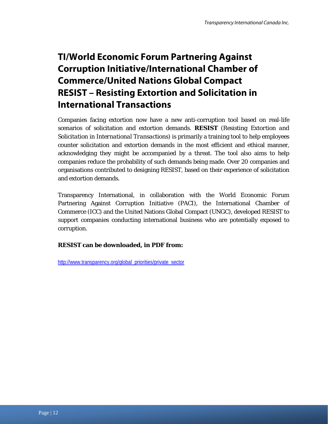# **TI/World Economic Forum Partnering Against Corruption Initiative/International Chamber of Commerce/United Nations Global Compact RESIST – Resisting Extortion and Solicitation in International Transactions**

Companies facing extortion now have a new anti-corruption tool based on real-life scenarios of solicitation and extortion demands. **RESIST** (*Resisting Extortion and Solicitation in International Transactions*) is primarily a training tool to help employees counter solicitation and extortion demands in the most efficient and ethical manner, acknowledging they might be accompanied by a threat. The tool also aims to help companies reduce the probability of such demands being made. Over 20 companies and organisations contributed to designing RESIST, based on their experience of solicitation and extortion demands.

Transparency International, in collaboration with the World Economic Forum Partnering Against Corruption Initiative (PACI), the International Chamber of Commerce (ICC) and the United Nations Global Compact (UNGC), developed RESIST to support companies conducting international business who are potentially exposed to corruption.

### **RESIST can be downloaded, in PDF from:**

http://www.transparency.org/global\_priorities/private\_sector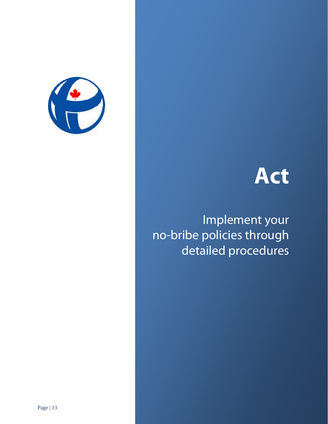



 Implement your no-bribe policies through detailed procedures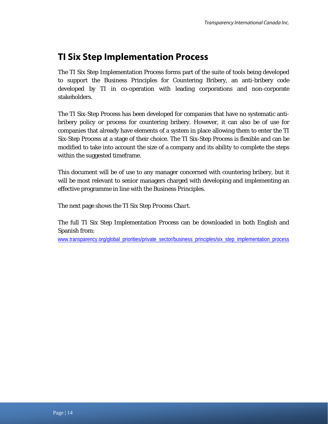# **TI Six Step Implementation Process**

The TI Six Step Implementation Process forms part of the suite of tools being developed to support the Business Principles for Countering Bribery, an anti-bribery code developed by TI in co-operation with leading corporations and non-corporate stakeholders.

The TI Six-Step Process has been developed for companies that have no systematic antibribery policy or process for countering bribery. However, it can also be of use for companies that already have elements of a system in place allowing them to enter the TI Six-Step Process at a stage of their choice. The TI Six-Step Process is flexible and can be modified to take into account the size of a company and its ability to complete the steps within the suggested timeframe.

This document will be of use to any manager concerned with countering bribery, but it will be most relevant to senior managers charged with developing and implementing an effective programme in line with the Business Principles.

The next page shows the *TI Six Step Process Chart.* 

The full TI Six Step Implementation Process can be downloaded in both English and Spanish from:

www.transparency.org/global\_priorities/private\_sector/business\_principles/six\_step\_implementation\_process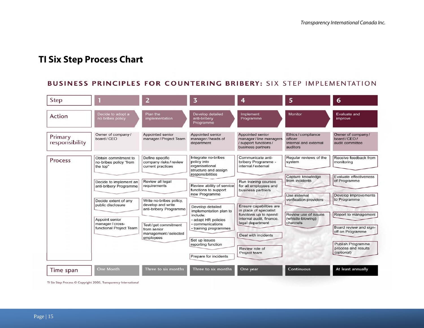# **TI Six Step Process Chart**

### BUSINESS PRINCIPLES FOR COUNTERING BRIBERY: SIX STEP IMPLEMENTATION

| Step                      |                                                                                                                                                                                                                                                                                                                                                                                                           | 2                                                                 | 3                                                                                                | 4                                                                                         | 5                                                                   | 6                                                     |
|---------------------------|-----------------------------------------------------------------------------------------------------------------------------------------------------------------------------------------------------------------------------------------------------------------------------------------------------------------------------------------------------------------------------------------------------------|-------------------------------------------------------------------|--------------------------------------------------------------------------------------------------|-------------------------------------------------------------------------------------------|---------------------------------------------------------------------|-------------------------------------------------------|
| Action                    | Decide to adopt a<br>no bribes policy                                                                                                                                                                                                                                                                                                                                                                     | Plan the<br>implementation                                        | Develop detailed<br>anti-bribery<br>Programme                                                    | Implement<br>Programme                                                                    | Monitor                                                             | Evaluate and<br>improve                               |
| Primary<br>responsibility | Owner of company/<br>board / CEO                                                                                                                                                                                                                                                                                                                                                                          | Appointed senior<br>manager / Project Team                        | Appointed senior<br>manager/heads of<br>department                                               | Appointed senior<br>manager / line managers<br>/ support functions /<br>business partners | Ethics / compliance<br>officer<br>Internal and external<br>auditors | Owner of company/<br>board / CEO /<br>audit committee |
| Process                   | Obtain commitment to<br>no-bribes policy "from<br>the top"                                                                                                                                                                                                                                                                                                                                                | Define specific<br>company risks / review<br>current practices    | Integrate no-bribes<br>policy into<br>organisational<br>structure and assign                     | Communicate anti-<br>bribery Programme -<br>internal / external                           | Regular reviews of the<br>system                                    | Receive feedback from<br>monitoring                   |
|                           | responsibilities<br>Review all legal<br>Decide to implement an<br>requirements<br>anti-bribery Programme<br>Write no-bribes policy,<br>Decide extent of any<br>develop and write<br>public disclosure<br>anti-bribery Programme<br>include:<br>Appoint senior<br>manager / cross-<br>Test/get commitment<br>functional Project Team<br>from senior<br>management / selected<br>employees<br>Set up issues | Review ability of service<br>functions to support                 | Run training courses<br>for all employees and<br>business partners                               | Capture knowledge<br>from incidents                                                       | Evaluate effectiveness<br>of Programme                              |                                                       |
|                           |                                                                                                                                                                                                                                                                                                                                                                                                           | new Programme<br>Develop detailed                                 | Ensure capabilities are                                                                          | Use external<br>verification providers                                                    | Develop improvements<br>to Programme                                |                                                       |
|                           |                                                                                                                                                                                                                                                                                                                                                                                                           | implementation plan to<br>· adapt HR policies<br>· communications | in place of specialist<br>functions up to speed:<br>internal audit, finance,<br>legal department | Review use of issues<br>(whistle-blowing)<br>channels                                     | Report to management                                                |                                                       |
|                           |                                                                                                                                                                                                                                                                                                                                                                                                           | • training programmes                                             | Deal with incidents                                                                              |                                                                                           | Board review and sign-<br>off on Programme                          |                                                       |
|                           |                                                                                                                                                                                                                                                                                                                                                                                                           | reporting function<br>Prepare for incidents                       | Review role of<br>Project team                                                                   |                                                                                           | <b>Publish Programme</b><br>process and results<br>(optional)       |                                                       |
| Time span                 | <b>One Month</b>                                                                                                                                                                                                                                                                                                                                                                                          | Three to six months                                               | Three to six months                                                                              | One year                                                                                  | <b>Continuous</b>                                                   | At least annually                                     |

TI Six Step Process © Copyright 2005, Transparency International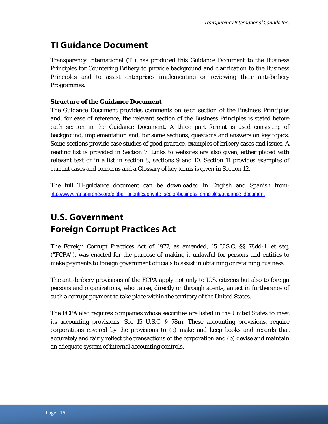# **TI Guidance Document**

Transparency International (TI) has produced this Guidance Document to the Business Principles for Countering Bribery to provide background and clarification to the Business Principles and to assist enterprises implementing or reviewing their anti-bribery Programmes.

### **Structure of the Guidance Document**

The Guidance Document provides comments on each section of the Business Principles and, for ease of reference, the relevant section of the Business Principles is stated before each section in the Guidance Document. A three part format is used consisting of background, implementation and, for some sections, questions and answers on key topics. Some sections provide case studies of good practice, examples of bribery cases and issues. A reading list is provided in Section 7. Links to websites are also given, either placed with relevant text or in a list in section 8, sections 9 and 10. Section 11 provides examples of current cases and concerns and a Glossary of key terms is given in Section 12.

The full TI-guidance document can be downloaded in English and Spanish from: http://www.transparency.org/global\_priorities/private\_sector/business\_principles/quidance\_document

# **U.S. Government Foreign Corrupt Practices Act**

The Foreign Corrupt Practices Act of 1977, as amended, 15 U.S.C. §§ 78dd-1, et seq. ("FCPA"), was enacted for the purpose of making it unlawful for persons and entities to make payments to foreign government officials to assist in obtaining or retaining business.

The anti-bribery provisions of the FCPA apply not only to U.S. citizens but also to foreign persons and organizations, who cause, directly or through agents, an act in furtherance of such a corrupt payment to take place within the territory of the United States.

The FCPA also requires companies whose securities are listed in the United States to meet its accounting provisions. See 15 U.S.C. § 78m. These accounting provisions, require corporations covered by the provisions to (a) make and keep books and records that accurately and fairly reflect the transactions of the corporation and (b) devise and maintain an adequate system of internal accounting controls.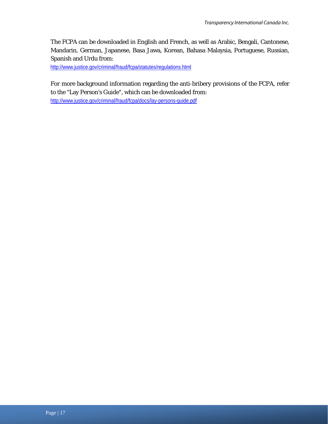The FCPA can be downloaded in English and French, as well as Arabic, Bengali, Cantonese, Mandarin, German, Japanese, Basa Jawa, Korean, Bahasa Malaysia, Portuguese, Russian, Spanish and Urdu from:

http://www.justice.gov/criminal/fraud/fcpa/statutes/regulations.html

For more background information regarding the anti-bribery provisions of the FCPA, refer to the "Lay Person's Guide", which can be downloaded from:

http://www.justice.gov/criminal/fraud/fcpa/docs/lay-persons-guide.pdf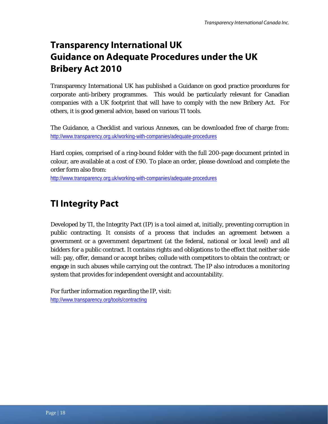# **Transparency International UK Guidance on Adequate Procedures under the UK Bribery Act 2010**

Transparency International UK has published a Guidance on good practice procedures for corporate anti-bribery programmes. This would be particularly relevant for Canadian companies with a UK footprint that will have to comply with the new Bribery Act. For others, it is good general advice, based on various TI tools.

The Guidance, a Checklist and various Annexes, can be downloaded free of charge from: http://www.transparency.org.uk/working-with-companies/adequate-procedures

Hard copies, comprised of a ring-bound folder with the full 200-page document printed in colour, are available at a cost of £90. To place an order, please download and complete the order form also from:

http://www.transparency.org.uk/working-with-companies/adequate-procedures

# **TI Integrity Pact**

Developed by TI, the Integrity Pact (IP) is a tool aimed at, initially, preventing corruption in public contracting. It consists of a process that includes an agreement between a government or a government department (at the federal, national or local level) and all bidders for a public contract. It contains rights and obligations to the effect that neither side will: pay, offer, demand or accept bribes; collude with competitors to obtain the contract; or engage in such abuses while carrying out the contract. The IP also introduces a monitoring system that provides for independent oversight and accountability.

For further information regarding the IP, visit: http://www.transparency.org/tools/contracting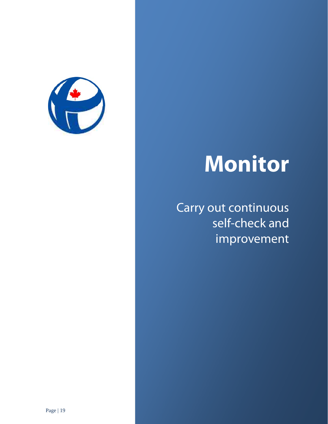

# **Monitor**

Carry out continuous self-check and improvement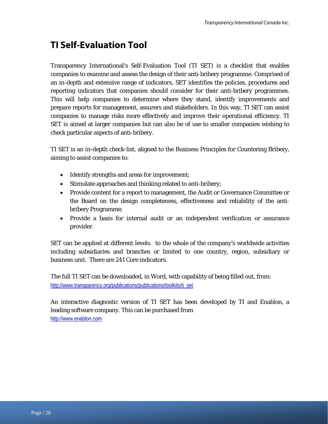# **TI Self-Evaluation Tool**

Transparency International's Self-Evaluation Tool (TI SET) is a checklist that enables companies to examine and assess the design of their anti-bribery programme. Comprised of an in-depth and extensive range of indicators, SET identifies the policies, procedures and reporting indicators that companies should consider for their anti-bribery programmes. This will help companies to determine where they stand, identify improvements and prepare reports for management, assurers and stakeholders. In this way, TI SET can assist companies to manage risks more effectively and improve their operational efficiency. TI SET is aimed at larger companies but can also be of use to smaller companies wishing to check particular aspects of anti-bribery.

TI SET is an in-depth check-list, aligned to the Business Principles for Countering Bribery, aiming to assist companies to:

- Identify strengths and areas for improvement;
- Stimulate approaches and thinking related to anti-bribery;
- Provide content for a report to management, the Audit or Governance Committee or the Board on the design completeness, effectiveness and reliability of the antibribery Programme;
- Provide a basis for internal audit or an independent verification or assurance provider.

SET can be applied at different levels: to the whole of the company's worldwide activities including subsidiaries and branches or limited to one country, region, subsidiary or business unit. There are 241 Core indicators.

The full TI SET can be downloaded, in Word, with capability of being filled out, from: http://www.transparency.org/publications/publications/toolkits/ti\_set

An interactive diagnostic version of TI SET has been developed by TI and Enablon, a leading software company. This can be purchased from http://www.enablon.com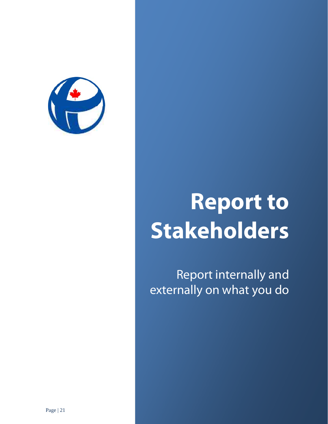

# **Report to Stakeholders**

Report internally and externally on what you do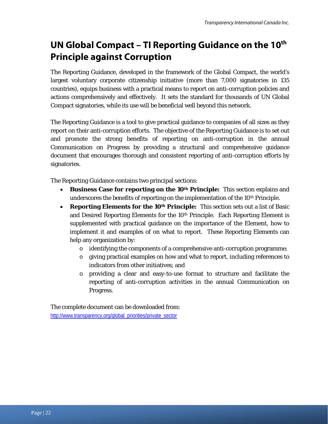# **UN Global Compact – TI Reporting Guidance on the 10th Principle against Corruption**

The Reporting Guidance, developed in the framework of the Global Compact, the world's largest voluntary corporate citizenship initiative (more than 7,000 signatories in 135 countries), equips business with a practical means to report on anti-corruption policies and actions comprehensively and effectively. It sets the standard for thousands of UN Global Compact signatories, while its use will be beneficial well beyond this network.

The Reporting Guidance is a tool to give practical guidance to companies of all sizes as they report on their anti-corruption efforts. The objective of the Reporting Guidance is to set out and promote the strong benefits of reporting on anti-corruption in the annual Communication on Progress by providing a structural and comprehensive guidance document that encourages thorough and consistent reporting of anti-corruption efforts by signatories.

The Reporting Guidance contains two principal sections:

- **Business Case for reporting on the 10<sup>th</sup> Principle:** This section explains and underscores the benefits of reporting on the implementation of the 10<sup>th</sup> Principle.
- **Reporting Elements for the 10th Principle:** This section sets out a list of Basic and Desired Reporting Elements for the 10th Principle. Each Reporting Element is supplemented with practical guidance on the importance of the Element, how to implement it and examples of on what to report. These Reporting Elements can help any organization by:
	- o identifying the components of a comprehensive anti-corruption programme;
	- o giving practical examples on how and what to report, including references to indicators from other initiatives; and
	- o providing a clear and easy-to-use format to structure and facilitate the reporting of anti-corruption activities in the annual Communication on Progress.

The complete document can be downloaded from: http://www.transparency.org/global\_priorities/private\_sector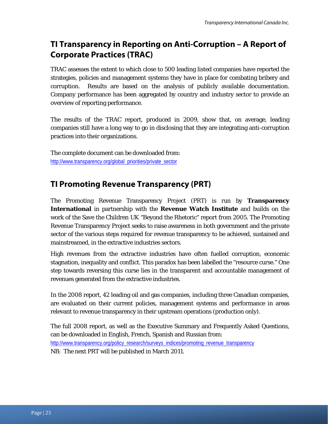## **TI Transparency in Reporting on Anti-Corruption – A Report of Corporate Practices (TRAC)**

TRAC assesses the extent to which close to 500 leading listed companies have reported the strategies, policies and management systems they have in place for combating bribery and corruption. Results are based on the analysis of publicly available documentation. Company performance has been aggregated by country and industry sector to provide an overview of reporting performance.

The results of the TRAC report, produced in 2009, show that, on average, leading companies still have a long way to go in disclosing that they are integrating anti-corruption practices into their organizations.

The complete document can be downloaded from: http://www.transparency.org/global\_priorities/private\_sector

## **TI Promoting Revenue Transparency (PRT)**

The Promoting Revenue Transparency Project (PRT) is run by **Transparency International** in partnership with the **Revenue Watch Institute** and builds on the work of the Save the Children UK "Beyond the Rhetoric" report from 2005. The Promoting Revenue Transparency Project seeks to raise awareness in both government and the private sector of the various steps required for revenue transparency to be achieved, sustained and mainstreamed, in the extractive industries sectors.

High revenues from the extractive industries have often fuelled corruption, economic stagnation, inequality and conflict. This paradox has been labelled the "resource curse." One step towards reversing this curse lies in the transparent and accountable management of revenues generated from the extractive industries.

In the 2008 report, 42 leading oil and gas companies, including three Canadian companies, are evaluated on their current policies, management systems and performance in areas relevant to revenue transparency in their upstream operations (production only).

The full 2008 report, as well as the Executive Summary and Frequently Asked Questions, can be downloaded in English, French, Spanish and Russian from: http://www.transparency.org/policy\_research/surveys\_indices/promoting\_revenue\_transparency NB: The next PRT will be published in March 2011.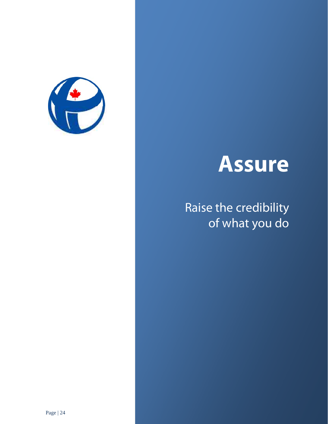

# **Assure**

# Raise the credibility of what you do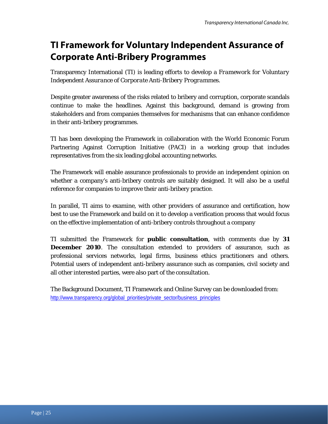# **TI Framework for Voluntary Independent Assurance of Corporate Anti-Bribery Programmes**

Transparency International (TI) is leading efforts to develop a *Framework for Voluntary Independent Assurance of Corporate Anti-Bribery Programmes*.

Despite greater awareness of the risks related to bribery and corruption, corporate scandals continue to make the headlines. Against this background, demand is growing from stakeholders and from companies themselves for mechanisms that can enhance confidence in their anti-bribery programmes.

TI has been developing the Framework in collaboration with the World Economic Forum Partnering Against Corruption Initiative (PACI) in a working group that includes representatives from the six leading global accounting networks.

The Framework will enable assurance professionals to provide an independent opinion on whether a company's anti-bribery controls are suitably designed. It will also be a useful reference for companies to improve their anti-bribery practice.

In parallel, TI aims to examine, with other providers of assurance and certification, how best to use the Framework and build on it to develop a verification process that would focus on the effective implementation of anti-bribery controls throughout a company

TI submitted the Framework for **public consultation**, with comments due by **31 December 2010**. The consultation extended to providers of assurance, such as professional services networks, legal firms, business ethics practitioners and others. Potential users of independent anti-bribery assurance such as companies, civil society and all other interested parties, were also part of the consultation.

The Background Document, TI Framework and Online Survey can be downloaded from: http://www.transparency.org/global\_priorities/private\_sector/business\_principles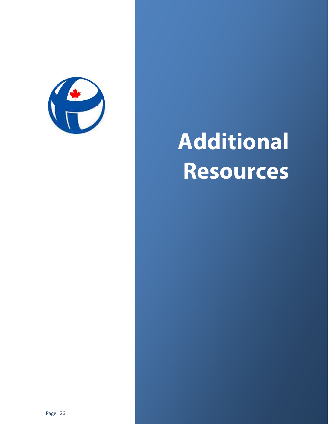

# **Additional Resources**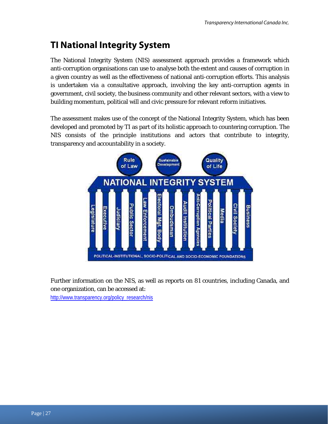# **TI National Integrity System**

The National Integrity System (NIS) assessment approach provides a framework which anti-corruption organisations can use to analyse both the extent and causes of corruption in a given country as well as the effectiveness of national anti-corruption efforts. This analysis is undertaken via a consultative approach, involving the key anti-corruption agents in government, civil society, the business community and other relevant sectors, with a view to building momentum, political will and civic pressure for relevant reform initiatives.

The assessment makes use of the concept of the National Integrity System, which has been developed and promoted by TI as part of its holistic approach to countering corruption. The NIS consists of the principle institutions and actors that contribute to integrity, transparency and accountability in a society.



Further information on the NIS, as well as reports on 81 countries, including Canada, and one organization, can be accessed at:

http://www.transparency.org/policy\_research/nis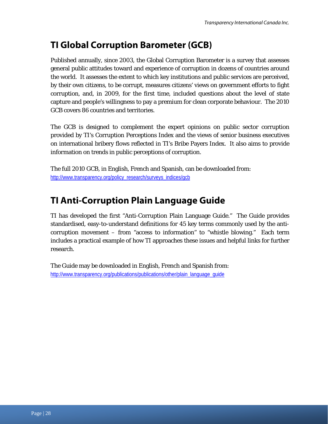# **TI Global Corruption Barometer (GCB)**

Published annually, since 2003, the Global Corruption Barometer is a survey that assesses general public attitudes toward and experience of corruption in dozens of countries around the world. It assesses the extent to which key institutions and public services are perceived, by their own citizens, to be corrupt, measures citizens' views on government efforts to fight corruption, and, in 2009, for the first time, included questions about the level of state capture and people's willingness to pay a premium for clean corporate behaviour. The 2010 GCB covers 86 countries and territories.

The GCB is designed to complement the expert opinions on public sector corruption provided by TI's Corruption Perceptions Index and the views of senior business executives on international bribery flows reflected in TI's Bribe Payers Index. It also aims to provide information on trends in public perceptions of corruption.

The full 2010 GCB, in English, French and Spanish, can be downloaded from: http://www.transparency.org/policy\_research/surveys\_indices/gcb

# **TI Anti-Corruption Plain Language Guide**

TI has developed the first "Anti-Corruption Plain Language Guide." The Guide provides standardised, easy-to-understand definitions for 45 key terms commonly used by the anticorruption movement – from "access to information" to "whistle blowing." Each term includes a practical example of how TI approaches these issues and helpful links for further research.

The Guide may be downloaded in English, French and Spanish from: http://www.transparency.org/publications/publications/other/plain\_language\_guide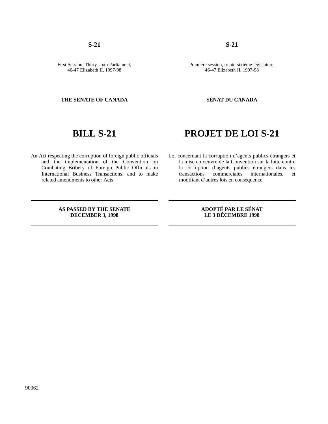90062

**S-21 S-21**

First Session, Thirty-sixth Parliament, 46-47 Elizabeth II, 1997-98

### **THE SENATE OF CANADA SÉNAT DU CANADA**

## **BILL S-21 PROJET DE LOI S-21**

An Act respecting the corruption of foreign public officials and the implementation of the Convention on Combating Bribery of Foreign Public Officials in International Business Transactions, and to make related amendments to other Acts

Loi concernant la corruption d'agents publics étrangers et la mise en oeuvre de la Convention sur la lutte contre la corruption d'agents publics étrangers dans les internationales, et modifiant d'autres lois en conséquence

### **AS PASSED BY THE SENATE DECEMBER 3, 1998**

**ADOPTÉ PAR LE SÉNAT LE 3 DÉCEMBRE 1998**

Première session, trente-sixième législature, 46-47 Elizabeth II, 1997-98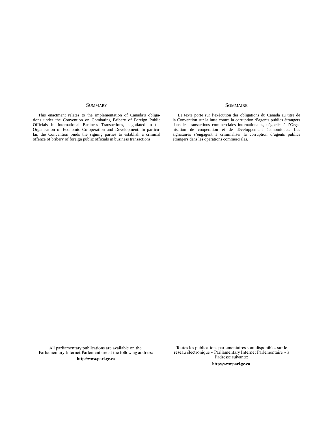This enactment relates to the implementation of Canada's obligations under the Convention on Combating Bribery of Foreign Public Officials in International Business Transactions, negotiated in the Organisation of Economic Co-operation and Development. In particular, the Convention binds the signing parties to establish a criminal offence of bribery of foreign public officials in business transactions.

### SUMMARY SOMMAIRE

Le texte porte sur l'exécution des obligations du Canada au titre de la Convention sur la lutte contre la corruption d'agents publics étrangers dans les transactions commerciales internationales, négociée à l'Organisation de coopération et de développement économiques. Les signataires s'engagent à criminaliser la corruption d'agents publics étrangers dans les opérations commerciales.

All parliamentary publications are available on the Parliamentary Internet Parlementaire at the following address:

Toutes les publications parlementaires sont disponibles sur le réseau électronique « Parliamentary Internet Parlementaire » l'adresse suivant http://www.parl.gc.ca entropy.com/settle/settle/settle/settle/settle/settle/settle/settle/settle/set

http://www.parl.gc.ca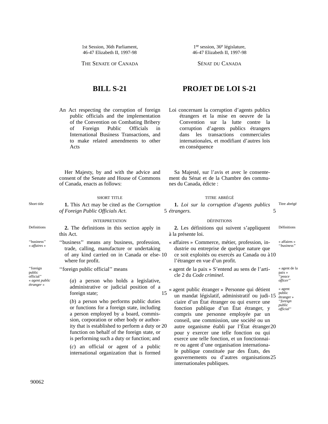1st Session, 36th Parliament, 46-47 Elizabeth II, 1997-98

THE SENATE OF CANADA SÉNAT DU CANADA

An Act respecting the corruption of foreign public officials and the implementation of the Convention on Combating Bribery of Foreign Public Officials in International Business Transactions, and to make related amendments to other Acts

Her Majesty, by and with the advice and consent of the Senate and House of Commons of Canada, enacts as follows:

Short title **1.** This Act may be cited as the *Corruption of Foreign Public Officials Act*.

### INTERPRETATION DÉFINITIONS

- Definitions **2.** The definitions in this section apply in this Act.
- ''business'' « *affaires* » ''business'' means any business, profession, trade, calling, manufacture or undertaking of any kind carried on in Canada or else- 10 where for profit.

''foreign public official'' means

public official'' « *agent public étranger* »

''foreign

(*a*) a person who holds a legislative, administrative or judicial position of a foreign state;

(*b*) a person who performs public duties or functions for a foreign state, including a person employed by a board, commission, corporation or other body or authority that is established to perform a duty or 20 function on behalf of the foreign state, or is performing such a duty or function; and

15

(*c*) an official or agent of a public international organization that is formed

## **BILL S-21 PROJET DE LOI S-21**

1re session, 36e législature, 46-47 Elizabeth II, 1997-98

Loi concernant la corruption d'agents publics étrangers et la mise en oeuvre de la Convention sur la lutte contre la corruption d'agents publics étrangers dans les transactions commerciales internationales, et modifiant d'autres lois en conséquence

Sa Majesté, sur l'avis et avec le consentement du Sénat et de la Chambre des communes du Canada, édicte :

### SHORT TITLE TITLE ABRÉGÉ

**1.** *Loi sur la corruption d'agents publics* Titre abrégé 5 5 *étrangers*.

Définitions **2.** Les définitions qui suivent s'appliquent à la présente loi.

- « affaires » ''*business'*' « affaires » Commerce, métier, profession, industrie ou entreprise de quelque nature que ce soit exploités ou exercés au Canada ou à 10 l'étranger en vue d'un profit.
- « agent de la paix » S'entend au sens de l'article 2 du *Code criminel*.

paix » ''*peace officer*'' « agent public étranger »

> ''*foreign public official*''

« agent de la

« agent public étranger » Personne qui détient un mandat législatif, administratif ou judi- 15 ciaire d'un État étranger ou qui exerce une fonction publique d'un État étranger, y compris une personne employée par un conseil, une commission, une société ou un autre organisme établi par l'État étranger 20 pour y exercer une telle fonction ou qui exerce une telle fonction, et un fonctionnaire ou agent d'une organisation internationale publique constituée par des États, des gouvernements ou d'autres organisations 25internationales publiques.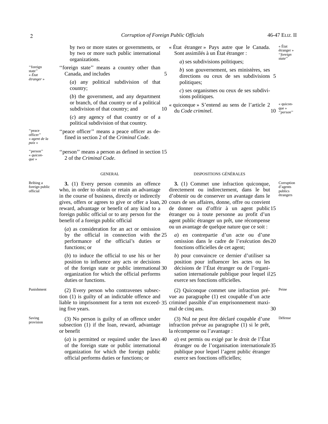5

by two or more states or governments, or by two or more such public international organizations.

''foreign state'' means a country other than Canada, and includes

> (*a*) any political subdivision of that country;

(*b*) the government, and any department or branch, of that country or of a political subdivision of that country; and

(*c*) any agency of that country or of a political subdivision of that country.

« *agent de la* "peace officer" means a peace officer as defined in section 2 of the *Criminal Code*.

> "person" means a person as defined in section 15 2 of the *Criminal Code*.

Bribing a foreign public official

Saving<br>provision

**3.** (1) Every person commits an offence who, in order to obtain or retain an advantage in the course of business, directly or indirectly gives, offers or agrees to give or offer a loan, 20 reward, advantage or benefit of any kind to a foreign public official or to any person for the benefit of a foreign public official

(*a*) as consideration for an act or omission by the official in connection with the 25 performance of the official's duties or functions; or

(*b*) to induce the official to use his or her position to influence any acts or decisions of the foreign state or public international 30 organization for which the official performs duties or functions.

Punishment (2) Every person who contravenes subsection (1) is guilty of an indictable offence and liable to imprisonment for a term not exceed- 35 criminel passible d'un emprisonnement maxiing five years.

> $(3)$  No person is guilty of an offence under subsection (1) if the loan, reward, advantage or benefit

 $(a)$  is permitted or required under the laws  $40$ of the foreign state or public international organization for which the foreign public official performs duties or functions; or

- « État étranger » Pays autre que le Canada. Sont assimilés à un État étranger :
	- *a*) ses subdivisions politiques;
	- *b*) son gouvernement, ses ministères, ses directions ou ceux de ses subdivisions 5 politiques;

*c*) ses organismes ou ceux de ses subdivisions politiques.

« quicon-10 <sup>que »</sup><br>"*person*" « quiconque » S'entend au sens de l'article 2 du *Code criminel*. 10

### GENERAL DISPOSITIONS GÉNÉRALES

**3.** (1) Commet une infraction quiconque, directement ou indirectement, dans le but d'obtenir ou de conserver un avantage dans le cours de ses affaires, donne, offre ou convient de donner ou d'offrir à un agent public 15 étranger ou à toute personne au profit d'un agent public étranger un prêt, une récompense ou un avantage de quelque nature que ce soit :

*a*) en contrepartie d'un acte ou d'une omission dans le cadre de l'exécution des 20

*b*) pour convaincre ce dernier d'utiliser sa position pour influencer les actes ou les décisions de l'État étranger ou de l'organisation internationale publique pour lequel il 25 exerce ses fonctions officielles.

fonctions officielles de cet agent;

(2) Quiconque commet une infraction pré-<br>Peine vue au paragraphe (1) est coupable d'un acte mal de cinq ans. 30

(3) Nul ne peut être déclaré coupable d'une Défense infraction prévue au paragraphe (1) si le prêt, la récompense ou l'avantage :

*a*) est permis ou exigé par le droit de l'État étranger ou de l'organisation internationale 35publique pour lequel l'agent public étranger exerce ses fonctions officielles;

étranger » ''*foreign state*''

Corruption d'agents publics étrangers

''foreign state'' « *État étranger* »

''peace officer''

*paix* » ''person'' « *quiconque* »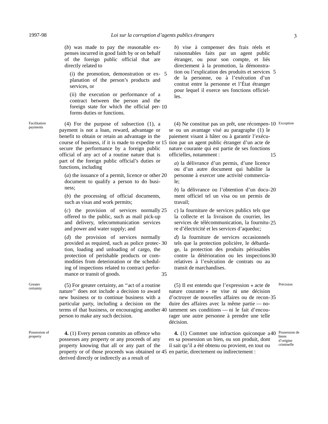(*b*) was made to pay the reasonable expenses incurred in good faith by or on behalf of the foreign public official that are directly related to

(i) the promotion, demonstration or ex- 5 planation of the person's products and services, or

(ii) the execution or performance of a contract between the person and the foreign state for which the official per- 10 forms duties or functions.

Facilitation

 $(4)$  For the purpose of subsection  $(1)$ , a payment is not a loan, reward, advantage or benefit to obtain or retain an advantage in the course of business, if it is made to expedite or 15 secure the performance by a foreign public official of any act of a routine nature that is part of the foreign public official's duties or functions, including

(*a*) the issuance of a permit, licence or other 20 document to qualify a person to do business;

(*b*) the processing of official documents, such as visas and work permits;

(*c*) the provision of services normally 25 offered to the public, such as mail pick-up and delivery, telecommunication services and power and water supply; and

(*d*) the provision of services normally provided as required, such as police protec- 30 tion, loading and unloading of cargo, the protection of perishable products or commodities from deterioration or the scheduling of inspections related to contract performance or transit of goods. 35

**Greater** 

property

Greater (5) For greater certainty, an "act of a routine certainty nature'' does not include a decision to award new business or to continue business with a particular party, including a decision on the terms of that business, or encouraging another 40 person to make any such decision.

Possession of **4.** (1) Every person commits an offence who possesses any property or any proceeds of any property knowing that all or any part of the property or of those proceeds was obtained or 45 en partie, directement ou indirectement : derived directly or indirectly as a result of

*b*) vise à compenser des frais réels et raisonnables faits par un agent public étranger, ou pour son compte, et liés directement à la promotion, la démonstration ou l'explication des produits et services 5 de la personne, ou à l'exécution d'un contrat entre la personne et l'État étranger pour lequel il exerce ses fonctions officielles.

(4) Ne constitue pas un prêt, une récompen-10 Exception se ou un avantage visé au paragraphe (1) le paiement visant à hâter ou à garantir l'exécution par un agent public étranger d'un acte de nature courante qui est partie de ses fonctions officielles, notamment : 15

*a*) la délivrance d'un permis, d'une licence ou d'un autre document qui habilite la personne à exercer une activité commerciale;

*b*) la délivrance ou l'obtention d'un docu- 20 ment officiel tel un visa ou un permis de travail;

*c*) la fourniture de services publics tels que la collecte et la livraison du courrier, les services de télécommunication, la fournitu- 25 re d'électricité et les services d'aqueduc;

*d*) la fourniture de services occasionnels tels que la protection policière, le débardage, la protection des produits périssables contre la détérioration ou les inspections 30 relatives à l'exécution de contrats ou au transit de marchandises.

(5) Il est entendu que l'expression « acte de Précision nature courante » ne vise ni une décision d'octroyer de nouvelles affaires ou de recon- 35 duire des affaires avec la même partie — notamment ses conditions — ni le fait d'encourager une autre personne à prendre une telle décision.

**4.** (1) Commet une infraction quiconque  $a40$  Possession de en sa possession un bien, ou son produit, dont il sait qu'il a été obtenu ou provient, en tout ou

biens d'origine criminelle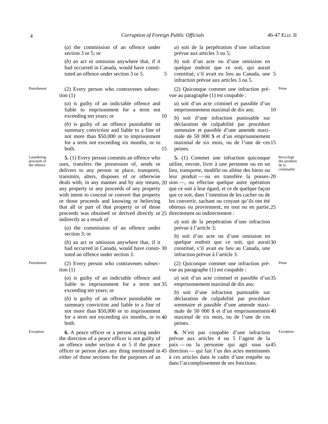(*a*) the commission of an offence under section 3 or 5; or

(*b*) an act or omission anywhere that, if it had occurred in Canada, would have constituted an offence under section 3 or 5.

Punishment (2) Every person who contravenes subsection  $(1)$ 

> (*a*) is guilty of an indictable offence and liable to imprisonment for a term not exceeding ten years; or 10

> (*b*) is guilty of an offence punishable on summary conviction and liable to a fine of not more than \$50,000 or to imprisonment for a term not exceeding six months, or to both. 15

**5.** (1) Every person commits an offence who uses, transfers the possession of, sends or delivers to any person or place, transports, transmits, alters, disposes of or otherwise deals with, in any manner and by any means, 20 any property or any proceeds of any property with intent to conceal or convert that property or those proceeds and knowing or believing that all or part of that property or of those proceeds was obtained or derived directly or 25 directement ou indirectement : indirectly as a result of

(*a*) the commission of an offence under section 3; or

(*b*) an act or omission anywhere that, if it had occurred in Canada, would have consti- 30 tuted an offence under section 3.

Punishment (2) Every person who contravenes subsection  $(1)$ 

> (*a*) is guilty of an indictable offence and liable to imprisonment for a term not 35 exceeding ten years; or

> (*b*) is guilty of an offence punishable on summary conviction and liable to a fine of not more than \$50,000 or to imprisonment for a term not exceeding six months, or to 40 both.

Exception **6.** A peace officer or a person acting under the direction of a peace officer is not guilty of an offence under section 4 or 5 if the peace officer or person does any thing mentioned in 45 either of those sections for the purposes of an

*a*) soit de la perpétration d'une infraction prévue aux articles 3 ou 5;

*b*) soit d'un acte ou d'une omission en quelque endroit que ce soit, qui aurait constitué, s'il avait eu lieu au Canada, une 5 5 infraction prévue aux articles 3 ou 5.

(2) Quiconque commet une infraction pré-<br>Peine vue au paragraphe (1) est coupable :

*a*) soit d'un acte criminel et passible d'un emprisonnement maximal de dix ans; 10

*b*) soit d'une infraction punissable sur déclaration de culpabilité par procédure sommaire et passible d'une amende maximale de 50 000 \$ et d'un emprisonnement maximal de six mois, ou de l'une de ces 15 peines.

**5.** (1) Commet une infraction quiconque utilise, envoie, livre à une personne ou en un Recyclage des produits de la criminalité

lieu, transporte, modifie ou aliène des biens ou leur produit — ou en transfère la posses- 20 sion —, ou effectue quelque autre opération que ce soit à leur égard, et ce de quelque façon que ce soit, dans l'intention de les cacher ou de les convertir, sachant ou croyant qu'ils ont été obtenus ou proviennent, en tout ou en partie, 25

*a*) soit de la perpétration d'une infraction prévue à l'article 3;

*b*) soit d'un acte ou d'une omission en quelque endroit que ce soit, qui aurait 30 constitué, s'il avait eu lieu au Canada, une infraction prévue à l'article 3.

(2) Quiconque commet une infraction pré-<br>Peine vue au paragraphe (1) est coupable :

*a*) soit d'un acte criminel et passible d'un 35 emprisonnement maximal de dix ans;

*b*) soit d'une infraction punissable sur déclaration de culpabilité par procédure sommaire et passible d'une amende maximale de 50 000 \$ et d'un emprisonnement 40 maximal de six mois, ou de l'une de ces peines.

**6.** N'est pas coupable d'une infraction Exception prévue aux articles 4 ou 5 l'agent de la paix — ou la personne qui agit sous sa 45direction — qui fait l'un des actes mentionnés à ces articles dans le cadre d'une enquête ou dans l'accomplissement de ses fonctions.

Laundering proceeds of

the offence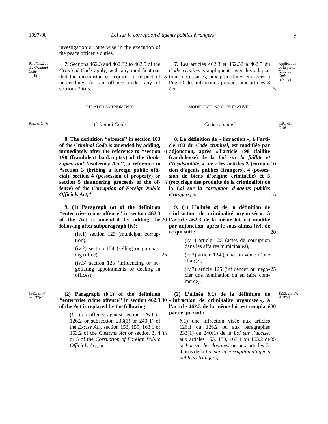investigation or otherwise in the execution of the peace officer's duties.

Part XII.2 of the *Criminal Code* applicable

**7.** Sections 462.3 and 462.32 to 462.5 of the *Criminal Code* apply, with any modifications that the circumstances require, in respect of 5 proceedings for an offence under any of sections 3 to 5.

**7.** Les articles 462.3 et 462.32 à 462.5 du *Code criminel* s'appliquent, avec les adaptations nécessaires, aux procédures engagées à l'égard des infractions prévues aux articles 3 à 5.

Application de la partie  $XII.2$  du *Code criminel*

5

**8. The definition ''offence'' in section 183 of the** *Criminal Code* **is amended by adding, immediately after the reference to ''section** 10 **198 (fraudulent bankruptcy) of the** *Bankruptcy and Insolvency Act***,'', a reference to ''section 3 (bribing a foreign public official), section 4 (possession of property) or section 5 (laundering proceeds of the of-** 15 **fence) of the** *Corruption of Foreign Public Officials Act***,''.**

**9. (1) Paragraph (***a***) of the definition ''enterprise crime offence'' in section 462.3 of the Act is amended by adding the** 20 **following after subparagraph (iv):**

> (iv.1) section 123 (municipal corruption),

(iv.2) section 124 (selling or purchasing office), 25

(iv.3) section 125 (influencing or negotiating appointments or dealing in offices),

1993, c. 37,

## par. 32(*a*) **(2) Paragraph (***b***.1) of the definition of the Act is replaced by the following:**

(*b*.1) an offence against section 126.1 or 126.2 or subsection 233(1) or 240(1) of the *Excise Act*, section 153, 159, 163.1 or 163.2 of the *Customs Act* or section 3, 4 35 or 5 of the *Corruption of Foreign Public Officials Act*, or

### RELATED AMENDMENTS MODIFICATIONS CORRÉLATIVES

*Code criminel*

R.S., c. C-46 *Criminal Code* **Condensity Code criminal Code Code Condensity** Code **Criminal** Code **Condensity** Code **C** E.R., ch. C-46

1993, ch. 37,

**8. La définition de « infraction », à l'article 183 du** *Code criminel***, est modifiée par adjonction, après « l'article 198 (faillite frauduleuse) de la** *Loi sur la faillite et l'insolvabilité***, », de « les articles 3 (corrup-** 10 **tion d'agents publics étrangers), 4 (possession de biens d'origine criminelle) et 5 (recyclage des produits de la criminalité) de la** *Loi sur la corruption d'agents publics étrangers***, ».** 15

**9. (1) L'alinéa** *a***) de la définition de « infraction de criminalité organisée », à l'article 462.3 de la même loi, est modifié par adjonction, après le sous-alinéa (iv), de ce qui suit :** 20

> (iv.1) article 123 (actes de corruption dans les affaires municipales),

> (iv.2) article 124 (achat ou vente d'une charge),

(iv.3) article 125 (influencer ou négo- 25 cier une nomination ou en faire commerce),

*b*.1) une infraction visée aux articles 126.1 ou 126.2 ou aux paragraphes 233(1) ou 240(1) de la *Loi sur l'accise*, aux articles 153, 159, 163.1 ou 163.2 de 35la *Loi sur les douanes* ou aux articles 3, 4 ou 5 de la *Loi sur la corruption d'agents publics étrangers*;

**<sup>&#</sup>x27;'enterprise crime offence'' in section 462.3 « infraction de criminalité organisée », à** 30 (2) L'alinéa *b*.1) de la définition de  $\frac{1993, c1}{a1, 32a}$ **l'article 462.3 de la même loi, est remplacé** 30 **par ce qui suit :**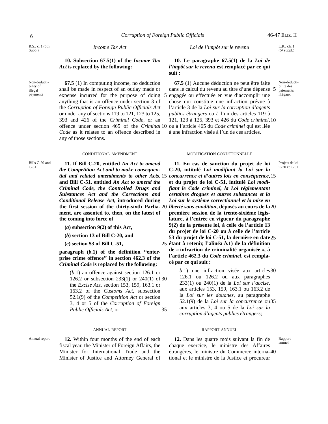R.S., c. 1 (5th Supp.)

*Income Tax Act* Let  $\begin{bmatrix} \text{L}R, \text{ch} \\ \text{l} \end{bmatrix}$ 

**10. Subsection 67.5(1) of the** *Income Tax Act* **is replaced by the following:**

Non-deductibility of illegal payments

Bills C-20 and

**67.5** (1) In computing income, no deduction shall be made in respect of an outlay made or expense incurred for the purpose of doing anything that is an offence under section 3 of the *Corruption of Foreign Public Officials Act* or under any of sections 119 to 121, 123 to 125, 393 and 426 of the *Criminal Code*, or an offence under section 465 of the *Criminal* 10 *Code* as it relates to an offence described in any of those sections.

C-51 **11. If Bill C-20, entitled** *An Act to amend the Competition Act and to make consequen***and Bill C-51, entitled** *An Act to amend the Criminal Code, the Controlled Drugs and Substances Act and the Corrections and Conditional Release Act***, introduced during the first session of the thirty-sixth Parlia-** 20 **ment, are assented to, then, on the latest of the coming into force of**

**(***a***) subsection 9(2) of this Act,**

**(***b***) section 13 of Bill C-20, and**

**(***c***) section 53 of Bill C-51,**

**paragraph (***b***.1) of the definition ''enterprise crime offence'' in section 462.3 of the** *Criminal Code* **is replaced by the following:**

> (*b*.1) an offence against section 126.1 or 126.2 or subsection 233(1) or 240(1) of 30 the *Excise Act*, section 153, 159, 163.1 or 163.2 of the *Customs Act*, subsection 52.1(9) of the *Competition Act* or section 3, 4 or 5 of the *Corruption of Foreign Public Officials Act*, or 35

Annual report **12.** Within four months of the end of each fiscal year, the Minister of Foreign Affairs, the Minister for International Trade and the Minister of Justice and Attorney General of

**10. Le paragraphe 67.5(1) de la** *Loi de l'impôt sur le revenu* **est remplacé par ce qui suit :**

**67.5** (1) Aucune déduction ne peut être faite dans le calcul du revenu au titre d'une dépense 5 engagée ou effectuée en vue d'accomplir une chose qui constitue une infraction prévue à l'article 3 de la *Loi sur la corruption d'agents publics étrangers* ou à l'un des articles 119 à 121, 123 à 125, 393 et 426 du *Code criminel*, 10 ou à l'article 465 du *Code criminel* qui est liée à une infraction visée à l'un de ces articles. 5

### CONDITIONAL AMENDMENT MODIFICATION CONDITIONNELLE

*tial and related amendments to other Acts***,** *concurrence et d'autres lois en conséquence***,** 15 15 11. En cas de sanction du projet de loi **C-20, intitulé** *Loi modifiant la Loi sur la* **et du projet de loi C-51, intitulé** *Loi modifiant le Code criminel, la Loi réglementant certaines drogues et autres substances et la Loi sur le système correctionnel et la mise en liberté sous condition***, déposés au cours de la** 20 **première session de la trente-sixième législature, à l'entrée en vigueur du paragraphe 9(2) de la présente loi, à celle de l'article 13 du projet de loi C-20 ou à celle de l'article 53 du projet de loi C-51, la dernière en date** 25 **étant à retenir, l'alinéa** *b***.1) de la définition** 25 **de « infraction de criminalité organisée », à l'article 462.3 du** *Code criminel***, est remplacé par ce qui suit :**

> *b*.1) une infraction visée aux articles 30 126.1 ou 126.2 ou aux paragraphes 233(1) ou 240(1) de la *Loi sur l'accise*, aux articles 153, 159, 163.1 ou 163.2 de la *Loi sur les douanes*, au paragraphe 52.1(9) de la *Loi sur la concurrence* ou 35 aux articles 3, 4 ou 5 de la *Loi sur la corruption d'agents publics étrangers*;

### ANNUAL REPORT NEWSLET AND RAPPORT ANNUEL

Rapport annuel **12.** Dans les quatre mois suivant la fin de chaque exercice, le ministre des Affaires étrangères, le ministre du Commerce interna- 40tional et le ministre de la Justice et procureur

 $(5^e$  suppl.)

Non-déductibilité des paiements illégaux

Projets de loi